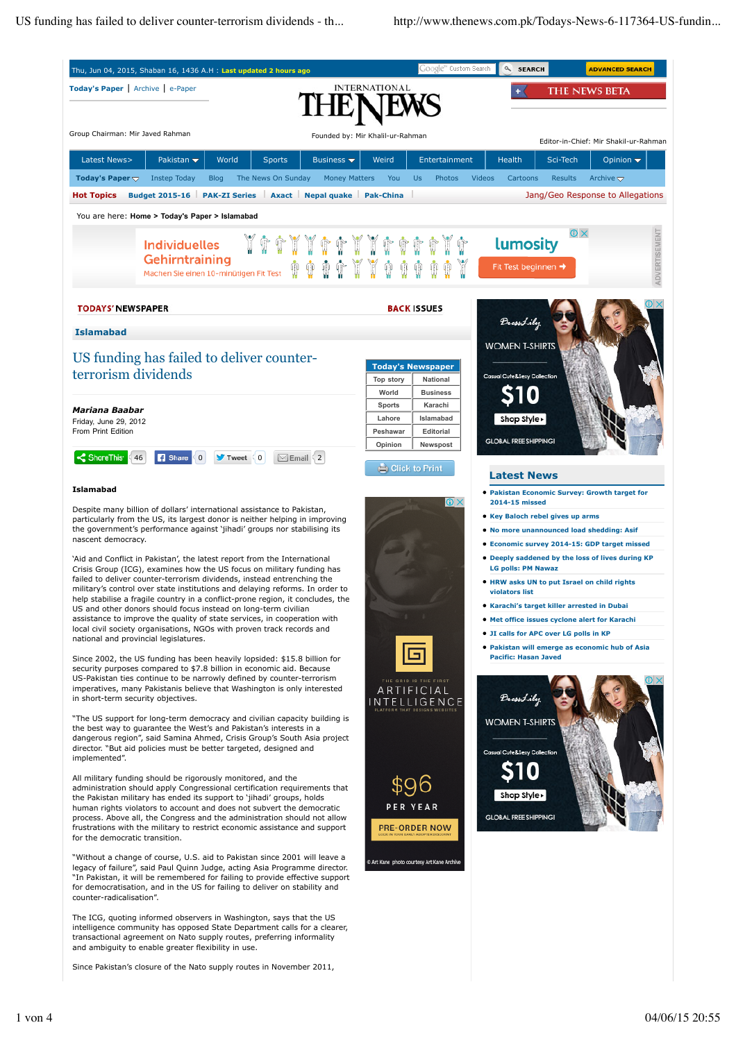

Since Pakistan's closure of the Nato supply routes in November 2011,